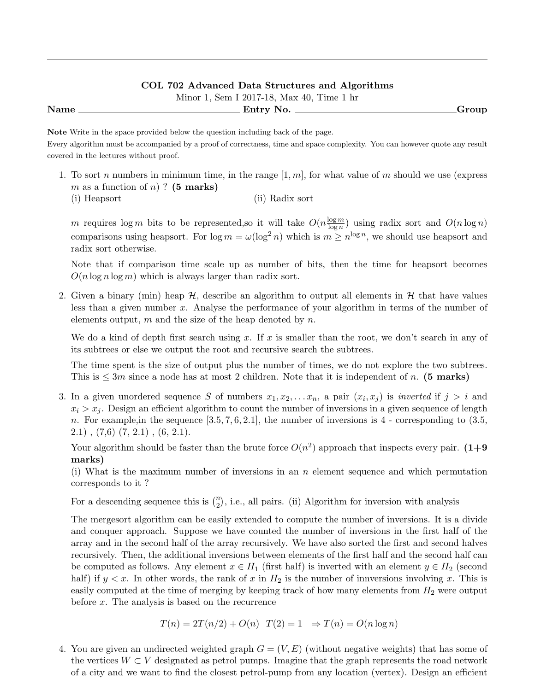Minor 1, Sem I 2017-18, Max 40, Time 1 hr Name Entry No. Group

Note Write in the space provided below the question including back of the page. Every algorithm must be accompanied by a proof of correctness, time and space complexity. You can however quote any result covered in the lectures without proof.

- 1. To sort n numbers in minimum time, in the range  $[1, m]$ , for what value of m should we use (express m as a function of n)? (5 marks)
	- (i) Heapsort (ii) Radix sort

m requires  $\log m$  bits to be represented, so it will take  $O(n \frac{\log m}{\log n})$  $\frac{\log m}{\log n}$  using radix sort and  $O(n \log n)$ comparisons using heapsort. For  $\log m = \omega(\log^2 n)$  which is  $m \geq n^{\log n}$ , we should use heapsort and radix sort otherwise.

Note that if comparison time scale up as number of bits, then the time for heapsort becomes  $O(n \log n \log m)$  which is always larger than radix sort.

2. Given a binary (min) heap  $H$ , describe an algorithm to output all elements in  $H$  that have values less than a given number x. Analyse the performance of your algorithm in terms of the number of elements output, m and the size of the heap denoted by n.

We do a kind of depth first search using x. If x is smaller than the root, we don't search in any of its subtrees or else we output the root and recursive search the subtrees.

The time spent is the size of output plus the number of times, we do not explore the two subtrees. This is  $\leq 3m$  since a node has at most 2 children. Note that it is independent of n. (5 marks)

3. In a given unordered sequence S of numbers  $x_1, x_2, \ldots x_n$ , a pair  $(x_i, x_j)$  is *inverted* if  $j > i$  and  $x_i > x_j$ . Design an efficient algorithm to count the number of inversions in a given sequence of length n. For example, in the sequence  $[3.5, 7, 6, 2.1]$ , the number of inversions is 4 - corresponding to  $(3.5, 1.5)$  $2.1)$ ,  $(7,6)$   $(7, 2.1)$ ,  $(6, 2.1)$ .

Your algorithm should be faster than the brute force  $O(n^2)$  approach that inspects every pair.  $(1+9)$ marks)

(i) What is the maximum number of inversions in an  $n$  element sequence and which permutation corresponds to it ?

For a descending sequence this is  $\binom{n}{2}$ , i.e., all pairs. (ii) Algorithm for inversion with analysis

The mergesort algorithm can be easily extended to compute the number of inversions. It is a divide and conquer approach. Suppose we have counted the number of inversions in the first half of the array and in the second half of the array recursively. We have also sorted the first and second halves recursively. Then, the additional inversions between elements of the first half and the second half can be computed as follows. Any element  $x \in H_1$  (first half) is inverted with an element  $y \in H_2$  (second half) if  $y < x$ . In other words, the rank of x in  $H_2$  is the number of innversions involving x. This is easily computed at the time of merging by keeping track of how many elements from  $H_2$  were output before x. The analysis is based on the recurrence

$$
T(n) = 2T(n/2) + O(n) \quad T(2) = 1 \quad \Rightarrow T(n) = O(n \log n)
$$

4. You are given an undirected weighted graph  $G = (V, E)$  (without negative weights) that has some of the vertices  $W \subset V$  designated as petrol pumps. Imagine that the graph represents the road network of a city and we want to find the closest petrol-pump from any location (vertex). Design an efficient